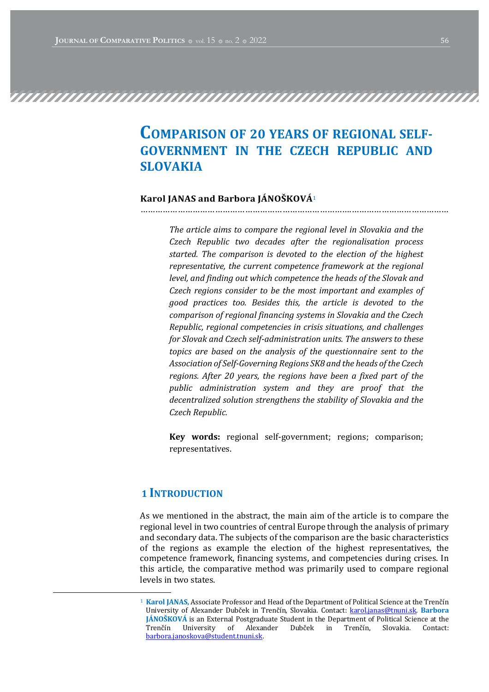# COMPARISON OF 20 YEARS OF REGIONAL SELF-GOVERNMENT IN THE CZECH REPUBLIC AND SLOVAKIA

#### Karol JANAS and Barbora JÁNOŠKOVÁ<sup>1</sup>

………………………………………………………………………….…………………………………

The article aims to compare the regional level in Slovakia and the Czech Republic two decades after the regionalisation process started. The comparison is devoted to the election of the highest representative, the current competence framework at the regional level, and finding out which competence the heads of the Slovak and Czech regions consider to be the most important and examples of good practices too. Besides this, the article is devoted to the comparison of regional financing systems in Slovakia and the Czech Republic, regional competencies in crisis situations, and challenges for Slovak and Czech self-administration units. The answers to these topics are based on the analysis of the questionnaire sent to the Association of Self-Governing Regions SK8 and the heads of the Czech regions. After 20 years, the regions have been a fixed part of the public administration system and they are proof that the decentralized solution strengthens the stability of Slovakia and the Czech Republic. 

Key words: regional self-government; regions; comparison; representatives.

#### 1 INTRODUCTION

As we mentioned in the abstract, the main aim of the article is to compare the regional level in two countries of central Europe through the analysis of primary and secondary data. The subjects of the comparison are the basic characteristics of the regions as example the election of the highest representatives, the competence framework, financing systems, and competencies during crises. In this article, the comparative method was primarily used to compare regional levels in two states.

 $1$  Karol JANAS, Associate Professor and Head of the Department of Political Science at the Trenčín University of Alexander Dubček in Trenčín, Slovakia. Contact: karol.janas@tnuni.sk. Barbora JÁNOŠKOVÁ is an External Postgraduate Student in the Department of Political Science at the Trenčín University of Alexander Dubček in Trenčín, Slovakia, Contact: barbora.janoskova@student.tnuni.sk.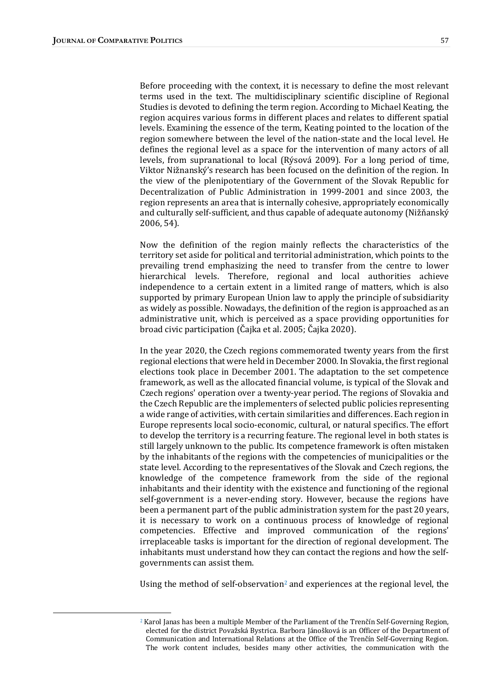Before proceeding with the context, it is necessary to define the most relevant terms used in the text. The multidisciplinary scientific discipline of Regional Studies is devoted to defining the term region. According to Michael Keating, the region acquires various forms in different places and relates to different spatial levels. Examining the essence of the term, Keating pointed to the location of the region somewhere between the level of the nation-state and the local level. He defines the regional level as a space for the intervention of many actors of all levels, from supranational to local (Rýsová 2009). For a long period of time, Viktor Nižnanský's research has been focused on the definition of the region. In the view of the plenipotentiary of the Government of the Slovak Republic for Decentralization of Public Administration in 1999-2001 and since 2003, the region represents an area that is internally cohesive, appropriately economically and culturally self-sufficient, and thus capable of adequate autonomy (Nižňanský 2006, 54).

Now the definition of the region mainly reflects the characteristics of the territory set aside for political and territorial administration, which points to the prevailing trend emphasizing the need to transfer from the centre to lower hierarchical levels. Therefore, regional and local authorities achieve independence to a certain extent in a limited range of matters, which is also supported by primary European Union law to apply the principle of subsidiarity as widely as possible. Nowadays, the definition of the region is approached as an administrative unit, which is perceived as a space providing opportunities for broad civic participation (Čajka et al. 2005; Čajka 2020).

In the year 2020, the Czech regions commemorated twenty years from the first regional elections that were held in December 2000. In Slovakia, the first regional elections took place in December 2001. The adaptation to the set competence framework, as well as the allocated financial volume, is typical of the Slovak and Czech regions' operation over a twenty-year period. The regions of Slovakia and the Czech Republic are the implementers of selected public policies representing a wide range of activities, with certain similarities and differences. Each region in Europe represents local socio-economic, cultural, or natural specifics. The effort to develop the territory is a recurring feature. The regional level in both states is still largely unknown to the public. Its competence framework is often mistaken by the inhabitants of the regions with the competencies of municipalities or the state level. According to the representatives of the Slovak and Czech regions, the knowledge of the competence framework from the side of the regional inhabitants and their identity with the existence and functioning of the regional self-government is a never-ending story. However, because the regions have been a permanent part of the public administration system for the past 20 years, it is necessary to work on a continuous process of knowledge of regional competencies. Effective and improved communication of the regions' irreplaceable tasks is important for the direction of regional development. The inhabitants must understand how they can contact the regions and how the selfgovernments can assist them.

Using the method of self-observation<sup>2</sup> and experiences at the regional level, the

 $2$  Karol Janas has been a multiple Member of the Parliament of the Trenčín Self-Governing Region, elected for the district Považská Bystrica. Barbora Jánošková is an Officer of the Department of Communication and International Relations at the Office of the Trenčín Self-Governing Region. The work content includes, besides many other activities, the communication with the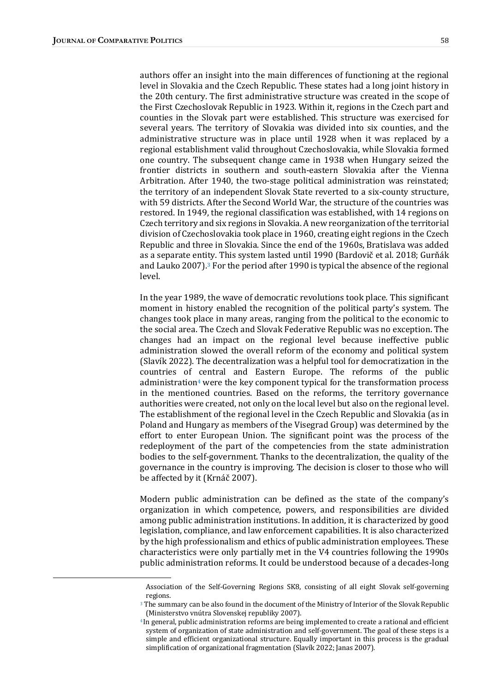authors offer an insight into the main differences of functioning at the regional level in Slovakia and the Czech Republic. These states had a long joint history in the 20th century. The first administrative structure was created in the scope of the First Czechoslovak Republic in 1923. Within it, regions in the Czech part and counties in the Slovak part were established. This structure was exercised for several years. The territory of Slovakia was divided into six counties, and the administrative structure was in place until 1928 when it was replaced by a regional establishment valid throughout Czechoslovakia, while Slovakia formed one country. The subsequent change came in 1938 when Hungary seized the frontier districts in southern and south-eastern Slovakia after the Vienna Arbitration. After 1940, the two-stage political administration was reinstated; the territory of an independent Slovak State reverted to a six-county structure, with 59 districts. After the Second World War, the structure of the countries was restored. In 1949, the regional classification was established, with 14 regions on Czech territory and six regions in Slovakia. A new reorganization of the territorial division of Czechoslovakia took place in 1960, creating eight regions in the Czech Republic and three in Slovakia. Since the end of the 1960s, Bratislava was added as a separate entity. This system lasted until 1990 (Bardovič et al. 2018; Gurňák and Lauko 2007).<sup>3</sup> For the period after 1990 is typical the absence of the regional level. 

In the year 1989, the wave of democratic revolutions took place. This significant moment in history enabled the recognition of the political party's system. The changes took place in many areas, ranging from the political to the economic to the social area. The Czech and Slovak Federative Republic was no exception. The changes had an impact on the regional level because ineffective public administration slowed the overall reform of the economy and political system (Slavík 2022). The decentralization was a helpful tool for democratization in the countries of central and Eastern Europe. The reforms of the public administration<sup>4</sup> were the key component typical for the transformation process in the mentioned countries. Based on the reforms, the territory governance authorities were created, not only on the local level but also on the regional level. The establishment of the regional level in the Czech Republic and Slovakia (as in Poland and Hungary as members of the Visegrad Group) was determined by the effort to enter European Union. The significant point was the process of the redeployment of the part of the competencies from the state administration bodies to the self-government. Thanks to the decentralization, the quality of the governance in the country is improving. The decision is closer to those who will be affected by it (Krnáč 2007).

Modern public administration can be defined as the state of the company's organization in which competence, powers, and responsibilities are divided among public administration institutions. In addition, it is characterized by good legislation, compliance, and law enforcement capabilities. It is also characterized by the high professionalism and ethics of public administration employees. These characteristics were only partially met in the V4 countries following the 1990s public administration reforms. It could be understood because of a decades-long

Association of the Self-Governing Regions SK8, consisting of all eight Slovak self-governing regions.

 $3$  The summary can be also found in the document of the Ministry of Interior of the Slovak Republic (Ministerstvo vnútra Slovenskej republiky 2007).

<sup>&</sup>lt;sup>4</sup> In general, public administration reforms are being implemented to create a rational and efficient system of organization of state administration and self-government. The goal of these steps is a simple and efficient organizational structure. Equally important in this process is the gradual simplification of organizational fragmentation (Slavík 2022; Janas 2007).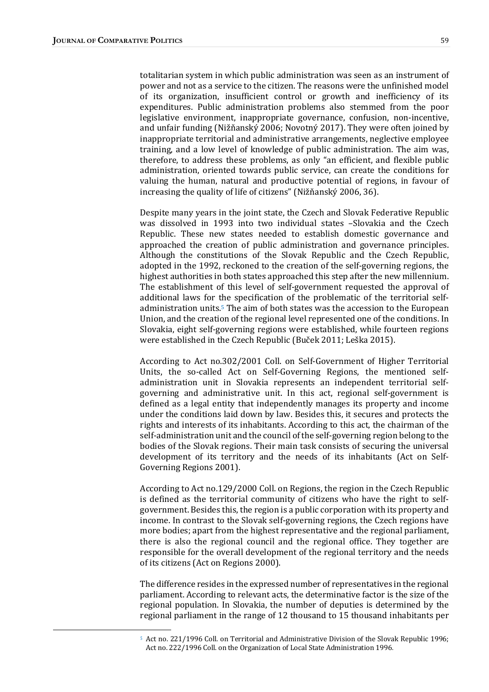totalitarian system in which public administration was seen as an instrument of power and not as a service to the citizen. The reasons were the unfinished model of its organization, insufficient control or growth and inefficiency of its expenditures. Public administration problems also stemmed from the poor legislative environment, inappropriate governance, confusion, non-incentive, and unfair funding (Nižňanský 2006; Novotný 2017). They were often joined by inappropriate territorial and administrative arrangements, neglective employee training, and a low level of knowledge of public administration. The aim was, therefore, to address these problems, as only "an efficient, and flexible public administration, oriented towards public service, can create the conditions for valuing the human, natural and productive potential of regions, in favour of increasing the quality of life of citizens" (Nižňanský 2006, 36).

Despite many years in the joint state, the Czech and Slovak Federative Republic was dissolved in 1993 into two individual states -Slovakia and the Czech Republic. These new states needed to establish domestic governance and approached the creation of public administration and governance principles. Although the constitutions of the Slovak Republic and the Czech Republic, adopted in the 1992, reckoned to the creation of the self-governing regions, the highest authorities in both states approached this step after the new millennium. The establishment of this level of self-government requested the approval of additional laws for the specification of the problematic of the territorial selfadministration units.<sup>5</sup> The aim of both states was the accession to the European Union, and the creation of the regional level represented one of the conditions. In Slovakia, eight self-governing regions were established, while fourteen regions were established in the Czech Republic (Buček 2011; Leška 2015).

According to Act no.302/2001 Coll. on Self-Government of Higher Territorial Units, the so-called Act on Self-Governing Regions, the mentioned selfadministration unit in Slovakia represents an independent territorial selfgoverning and administrative unit. In this act, regional self-government is defined as a legal entity that independently manages its property and income under the conditions laid down by law. Besides this, it secures and protects the rights and interests of its inhabitants. According to this act, the chairman of the self-administration unit and the council of the self-governing region belong to the bodies of the Slovak regions. Their main task consists of securing the universal development of its territory and the needs of its inhabitants (Act on Self-Governing Regions 2001).

According to Act no.129/2000 Coll. on Regions, the region in the Czech Republic is defined as the territorial community of citizens who have the right to selfgovernment. Besides this, the region is a public corporation with its property and income. In contrast to the Slovak self-governing regions, the Czech regions have more bodies; apart from the highest representative and the regional parliament, there is also the regional council and the regional office. They together are responsible for the overall development of the regional territory and the needs of its citizens (Act on Regions 2000).

The difference resides in the expressed number of representatives in the regional parliament. According to relevant acts, the determinative factor is the size of the regional population. In Slovakia, the number of deputies is determined by the regional parliament in the range of 12 thousand to 15 thousand inhabitants per

<sup>&</sup>lt;sup>5</sup> Act no. 221/1996 Coll. on Territorial and Administrative Division of the Slovak Republic 1996; Act no. 222/1996 Coll. on the Organization of Local State Administration 1996.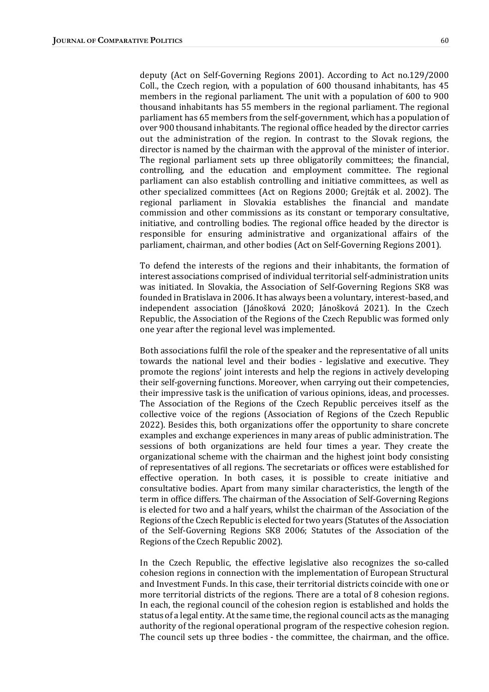deputy (Act on Self-Governing Regions 2001). According to Act no.129/2000 Coll., the Czech region, with a population of 600 thousand inhabitants, has 45 members in the regional parliament. The unit with a population of 600 to 900 thousand inhabitants has 55 members in the regional parliament. The regional parliament has 65 members from the self-government, which has a population of over 900 thousand inhabitants. The regional office headed by the director carries out the administration of the region. In contrast to the Slovak regions, the director is named by the chairman with the approval of the minister of interior. The regional parliament sets up three obligatorily committees; the financial, controlling, and the education and employment committee. The regional parliament can also establish controlling and initiative committees, as well as other specialized committees (Act on Regions 2000; Grejták et al. 2002). The regional parliament in Slovakia establishes the financial and mandate commission and other commissions as its constant or temporary consultative, initiative, and controlling bodies. The regional office headed by the director is responsible for ensuring administrative and organizational affairs of the parliament, chairman, and other bodies (Act on Self-Governing Regions 2001).

To defend the interests of the regions and their inhabitants, the formation of interest associations comprised of individual territorial self-administration units was initiated. In Slovakia, the Association of Self-Governing Regions SK8 was founded in Bratislava in 2006. It has always been a voluntary, interest-based, and independent association (Jánošková 2020; Jánošková 2021). In the Czech Republic, the Association of the Regions of the Czech Republic was formed only one year after the regional level was implemented.

Both associations fulfil the role of the speaker and the representative of all units towards the national level and their bodies - legislative and executive. They promote the regions' joint interests and help the regions in actively developing their self-governing functions. Moreover, when carrying out their competencies, their impressive task is the unification of various opinions, ideas, and processes. The Association of the Regions of the Czech Republic perceives itself as the collective voice of the regions (Association of Regions of the Czech Republic 2022). Besides this, both organizations offer the opportunity to share concrete examples and exchange experiences in many areas of public administration. The sessions of both organizations are held four times a year. They create the organizational scheme with the chairman and the highest joint body consisting of representatives of all regions. The secretariats or offices were established for effective operation. In both cases, it is possible to create initiative and consultative bodies. Apart from many similar characteristics, the length of the term in office differs. The chairman of the Association of Self-Governing Regions is elected for two and a half years, whilst the chairman of the Association of the Regions of the Czech Republic is elected for two years (Statutes of the Association of the Self-Governing Regions SK8 2006; Statutes of the Association of the Regions of the Czech Republic 2002).

In the Czech Republic, the effective legislative also recognizes the so-called cohesion regions in connection with the implementation of European Structural and Investment Funds. In this case, their territorial districts coincide with one or more territorial districts of the regions. There are a total of 8 cohesion regions. In each, the regional council of the cohesion region is established and holds the status of a legal entity. At the same time, the regional council acts as the managing authority of the regional operational program of the respective cohesion region. The council sets up three bodies - the committee, the chairman, and the office.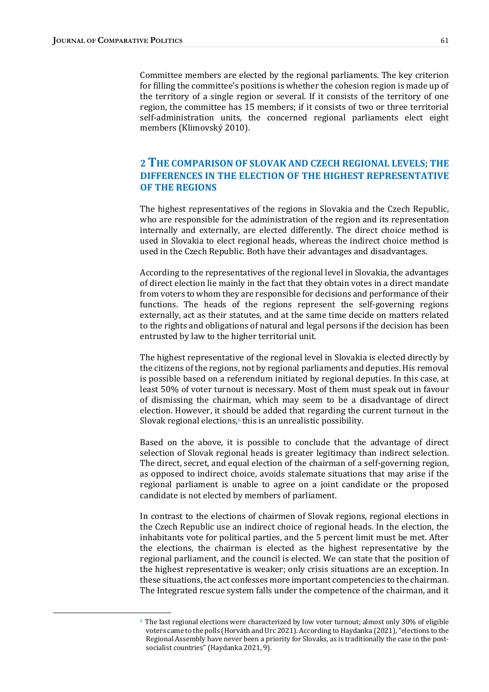Committee members are elected by the regional parliaments. The key criterion for filling the committee's positions is whether the cohesion region is made up of the territory of a single region or several. If it consists of the territory of one region, the committee has 15 members; if it consists of two or three territorial self-administration units, the concerned regional parliaments elect eight members (Klimovský 2010).

## 2 THE COMPARISON OF SLOVAK AND CZECH REGIONAL LEVELS; THE DIFFERENCES IN THE ELECTION OF THE HIGHEST REPRESENTATIVE OF THE REGIONS

The highest representatives of the regions in Slovakia and the Czech Republic, who are responsible for the administration of the region and its representation internally and externally, are elected differently. The direct choice method is used in Slovakia to elect regional heads, whereas the indirect choice method is used in the Czech Republic. Both have their advantages and disadvantages.

According to the representatives of the regional level in Slovakia, the advantages of direct election lie mainly in the fact that they obtain votes in a direct mandate from voters to whom they are responsible for decisions and performance of their functions. The heads of the regions represent the self-governing regions externally, act as their statutes, and at the same time decide on matters related to the rights and obligations of natural and legal persons if the decision has been entrusted by law to the higher territorial unit.

The highest representative of the regional level in Slovakia is elected directly by the citizens of the regions, not by regional parliaments and deputies. His removal is possible based on a referendum initiated by regional deputies. In this case, at least 50% of voter turnout is necessary. Most of them must speak out in favour of dismissing the chairman, which may seem to be a disadvantage of direct election. However, it should be added that regarding the current turnout in the Slovak regional elections, $6$  this is an unrealistic possibility.

Based on the above, it is possible to conclude that the advantage of direct selection of Slovak regional heads is greater legitimacy than indirect selection. The direct, secret, and equal election of the chairman of a self-governing region, as opposed to indirect choice, avoids stalemate situations that may arise if the regional parliament is unable to agree on a joint candidate or the proposed candidate is not elected by members of parliament.

In contrast to the elections of chairmen of Slovak regions, regional elections in the Czech Republic use an indirect choice of regional heads. In the election, the inhabitants vote for political parties, and the 5 percent limit must be met. After the elections, the chairman is elected as the highest representative by the regional parliament, and the council is elected. We can state that the position of the highest representative is weaker; only crisis situations are an exception. In these situations, the act confesses more important competencies to the chairman. The Integrated rescue system falls under the competence of the chairman, and it

 $6$  The last regional elections were characterized by low voter turnout; almost only 30% of eligible voters came to the polls (Horváth and Urc 2021). According to Haydanka (2021), "elections to the Regional Assembly have never been a priority for Slovaks, as is traditionally the case in the postsocialist countries" (Haydanka 2021, 9).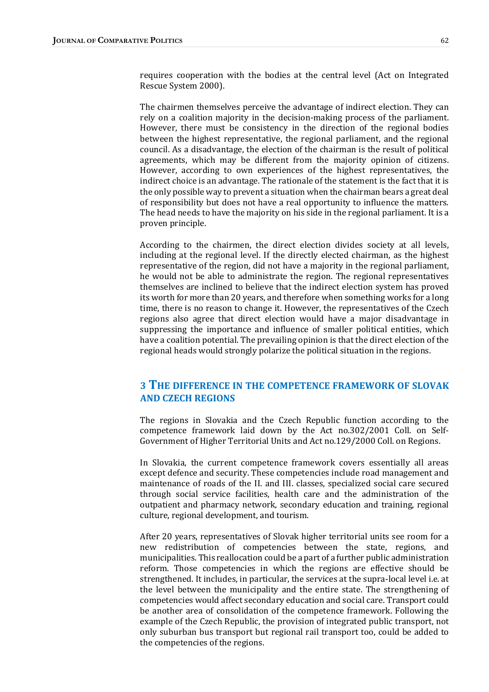requires cooperation with the bodies at the central level (Act on Integrated Rescue System 2000).

The chairmen themselves perceive the advantage of indirect election. They can rely on a coalition majority in the decision-making process of the parliament. However, there must be consistency in the direction of the regional bodies between the highest representative, the regional parliament, and the regional council. As a disadvantage, the election of the chairman is the result of political agreements, which may be different from the majority opinion of citizens. However, according to own experiences of the highest representatives, the indirect choice is an advantage. The rationale of the statement is the fact that it is the only possible way to prevent a situation when the chairman bears a great deal of responsibility but does not have a real opportunity to influence the matters. The head needs to have the majority on his side in the regional parliament. It is a proven principle.

According to the chairmen, the direct election divides society at all levels, including at the regional level. If the directly elected chairman, as the highest representative of the region, did not have a majority in the regional parliament, he would not be able to administrate the region. The regional representatives themselves are inclined to believe that the indirect election system has proved its worth for more than 20 years, and therefore when something works for a long time, there is no reason to change it. However, the representatives of the Czech regions also agree that direct election would have a major disadvantage in suppressing the importance and influence of smaller political entities, which have a coalition potential. The prevailing opinion is that the direct election of the regional heads would strongly polarize the political situation in the regions.

#### 3 THE DIFFERENCE IN THE COMPETENCE FRAMEWORK OF SLOVAK **AND CZECH REGIONS**

The regions in Slovakia and the Czech Republic function according to the competence framework laid down by the Act no.302/2001 Coll. on Self-Government of Higher Territorial Units and Act no.129/2000 Coll. on Regions.

In Slovakia, the current competence framework covers essentially all areas except defence and security. These competencies include road management and maintenance of roads of the II. and III. classes, specialized social care secured through social service facilities, health care and the administration of the outpatient and pharmacy network, secondary education and training, regional culture, regional development, and tourism.

After 20 years, representatives of Slovak higher territorial units see room for a new redistribution of competencies between the state, regions, and municipalities. This reallocation could be a part of a further public administration reform. Those competencies in which the regions are effective should be strengthened. It includes, in particular, the services at the supra-local level i.e. at the level between the municipality and the entire state. The strengthening of competencies would affect secondary education and social care. Transport could be another area of consolidation of the competence framework. Following the example of the Czech Republic, the provision of integrated public transport, not only suburban bus transport but regional rail transport too, could be added to the competencies of the regions.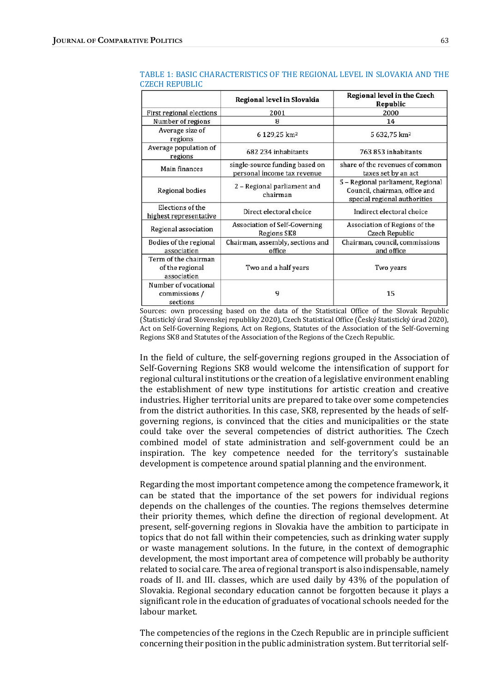|                                                        | Regional level in Slovakia                                    | Regional level in the Czech<br>Republic                                                            |
|--------------------------------------------------------|---------------------------------------------------------------|----------------------------------------------------------------------------------------------------|
| First regional elections                               | 2001                                                          | 2000                                                                                               |
| Number of regions                                      | 8                                                             | 14                                                                                                 |
| Average size of<br>regions                             | 6 129,25 km <sup>2</sup>                                      | 5 632,75 km <sup>2</sup>                                                                           |
| Average population of<br>regions                       | 682 234 inhabitants                                           | 763 853 inhabitants                                                                                |
| Main finances                                          | single-source funding based on<br>personal income tax revenue | share of the revenues of common<br>taxes set by an act                                             |
| Regional bodies                                        | 2 - Regional parliament and<br>chairman                       | 5 - Regional parliament, Regional<br>Council, chairman, office and<br>special regional authorities |
| Elections of the<br>highest representative             | Direct electoral choice                                       | Indirect electoral choice                                                                          |
| Regional association                                   | <b>Association of Self-Governing</b><br>Regions SK8           | Association of Regions of the<br>Czech Republic                                                    |
| Bodies of the regional<br>association                  | Chairman, assembly, sections and<br>office                    | Chairman, council, commissions<br>and office                                                       |
| Term of the chairman<br>of the regional<br>association | Two and a half years                                          | Two years                                                                                          |
| Number of vocational<br>commissions /<br>sections      | 9                                                             | 15                                                                                                 |

TABLE 1: BASIC CHARACTERISTICS OF THE REGIONAL LEVEL IN SLOVAKIA AND THE CZECH REPUBLIC

Sources: own processing based on the data of the Statistical Office of the Slovak Republic (Štatistický úrad Slovenskej republiky 2020), Czech Statistical Office (Český štatistický úrad 2020), Act on Self-Governing Regions, Act on Regions, Statutes of the Association of the Self-Governing Regions SK8 and Statutes of the Association of the Regions of the Czech Republic.

In the field of culture, the self-governing regions grouped in the Association of Self-Governing Regions SK8 would welcome the intensification of support for regional cultural institutions or the creation of a legislative environment enabling the establishment of new type institutions for artistic creation and creative industries. Higher territorial units are prepared to take over some competencies from the district authorities. In this case, SK8, represented by the heads of selfgoverning regions, is convinced that the cities and municipalities or the state could take over the several competencies of district authorities. The Czech combined model of state administration and self-government could be an inspiration. The key competence needed for the territory's sustainable development is competence around spatial planning and the environment.

Regarding the most important competence among the competence framework, it can be stated that the importance of the set powers for individual regions depends on the challenges of the counties. The regions themselves determine their priority themes, which define the direction of regional development. At present, self-governing regions in Slovakia have the ambition to participate in topics that do not fall within their competencies, such as drinking water supply or waste management solutions. In the future, in the context of demographic development, the most important area of competence will probably be authority related to social care. The area of regional transport is also indispensable, namely roads of II. and III. classes, which are used daily by 43% of the population of Slovakia. Regional secondary education cannot be forgotten because it plays a significant role in the education of graduates of vocational schools needed for the labour market.

The competencies of the regions in the Czech Republic are in principle sufficient concerning their position in the public administration system. But territorial self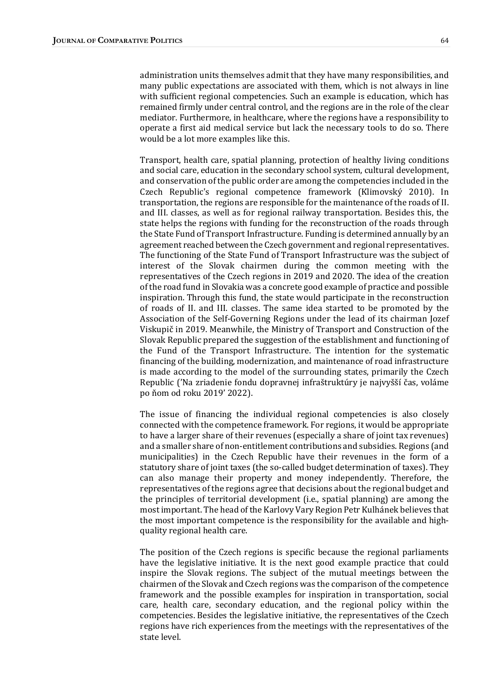administration units themselves admit that they have many responsibilities, and many public expectations are associated with them, which is not always in line with sufficient regional competencies. Such an example is education, which has remained firmly under central control, and the regions are in the role of the clear mediator. Furthermore, in healthcare, where the regions have a responsibility to operate a first aid medical service but lack the necessary tools to do so. There would be a lot more examples like this.

Transport, health care, spatial planning, protection of healthy living conditions and social care, education in the secondary school system, cultural development, and conservation of the public order are among the competencies included in the Czech Republic's regional competence framework (Klimovský 2010). In transportation, the regions are responsible for the maintenance of the roads of II. and III. classes, as well as for regional railway transportation. Besides this, the state helps the regions with funding for the reconstruction of the roads through the State Fund of Transport Infrastructure. Funding is determined annually by an agreement reached between the Czech government and regional representatives. The functioning of the State Fund of Transport Infrastructure was the subject of interest of the Slovak chairmen during the common meeting with the representatives of the Czech regions in 2019 and 2020. The idea of the creation of the road fund in Slovakia was a concrete good example of practice and possible inspiration. Through this fund, the state would participate in the reconstruction of roads of II. and III. classes. The same idea started to be promoted by the Association of the Self-Governing Regions under the lead of its chairman Jozef Viskupič in 2019. Meanwhile, the Ministry of Transport and Construction of the Slovak Republic prepared the suggestion of the establishment and functioning of the Fund of the Transport Infrastructure. The intention for the systematic financing of the building, modernization, and maintenance of road infrastructure is made according to the model of the surrounding states, primarily the Czech Republic ('Na zriadenie fondu dopravnej infraštruktúry je najvyšší čas, voláme po ňom od roku 2019' 2022). 

The issue of financing the individual regional competencies is also closely connected with the competence framework. For regions, it would be appropriate to have a larger share of their revenues (especially a share of joint tax revenues) and a smaller share of non-entitlement contributions and subsidies. Regions (and municipalities) in the Czech Republic have their revenues in the form of a statutory share of joint taxes (the so-called budget determination of taxes). They can also manage their property and money independently. Therefore, the representatives of the regions agree that decisions about the regional budget and the principles of territorial development  $(i.e.,$  spatial planning) are among the most important. The head of the Karlovy Vary Region Petr Kulhánek believes that the most important competence is the responsibility for the available and highquality regional health care.

The position of the Czech regions is specific because the regional parliaments have the legislative initiative. It is the next good example practice that could inspire the Slovak regions. The subject of the mutual meetings between the chairmen of the Slovak and Czech regions was the comparison of the competence framework and the possible examples for inspiration in transportation, social care, health care, secondary education, and the regional policy within the competencies. Besides the legislative initiative, the representatives of the Czech regions have rich experiences from the meetings with the representatives of the state level.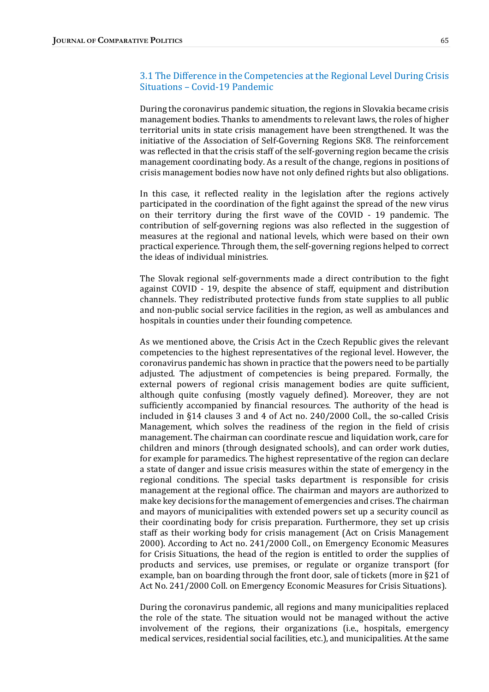#### 3.1 The Difference in the Competencies at the Regional Level During Crisis Situations - Covid-19 Pandemic

During the coronavirus pandemic situation, the regions in Slovakia became crisis management bodies. Thanks to amendments to relevant laws, the roles of higher territorial units in state crisis management have been strengthened. It was the initiative of the Association of Self-Governing Regions SK8. The reinforcement was reflected in that the crisis staff of the self-governing region became the crisis management coordinating body. As a result of the change, regions in positions of crisis management bodies now have not only defined rights but also obligations.

In this case, it reflected reality in the legislation after the regions actively participated in the coordination of the fight against the spread of the new virus on their territory during the first wave of the COVID - 19 pandemic. The contribution of self-governing regions was also reflected in the suggestion of measures at the regional and national levels, which were based on their own practical experience. Through them, the self-governing regions helped to correct the ideas of individual ministries.

The Slovak regional self-governments made a direct contribution to the fight against COVID  $-19$ , despite the absence of staff, equipment and distribution channels. They redistributed protective funds from state supplies to all public and non-public social service facilities in the region, as well as ambulances and hospitals in counties under their founding competence.

As we mentioned above, the Crisis Act in the Czech Republic gives the relevant competencies to the highest representatives of the regional level. However, the coronavirus pandemic has shown in practice that the powers need to be partially adjusted. The adjustment of competencies is being prepared. Formally, the external powers of regional crisis management bodies are quite sufficient, although quite confusing (mostly vaguely defined). Moreover, they are not sufficiently accompanied by financial resources. The authority of the head is included in  $§14$  clauses 3 and 4 of Act no. 240/2000 Coll., the so-called Crisis Management, which solves the readiness of the region in the field of crisis management. The chairman can coordinate rescue and liquidation work, care for children and minors (through designated schools), and can order work duties, for example for paramedics. The highest representative of the region can declare a state of danger and issue crisis measures within the state of emergency in the regional conditions. The special tasks department is responsible for crisis management at the regional office. The chairman and mayors are authorized to make key decisions for the management of emergencies and crises. The chairman and mayors of municipalities with extended powers set up a security council as their coordinating body for crisis preparation. Furthermore, they set up crisis staff as their working body for crisis management (Act on Crisis Management 2000). According to Act no. 241/2000 Coll., on Emergency Economic Measures for Crisis Situations, the head of the region is entitled to order the supplies of products and services, use premises, or regulate or organize transport (for example, ban on boarding through the front door, sale of tickets (more in  $\S 21$  of Act No. 241/2000 Coll. on Emergency Economic Measures for Crisis Situations).

During the coronavirus pandemic, all regions and many municipalities replaced the role of the state. The situation would not be managed without the active involvement of the regions, their organizations (i.e., hospitals, emergency medical services, residential social facilities, etc.), and municipalities. At the same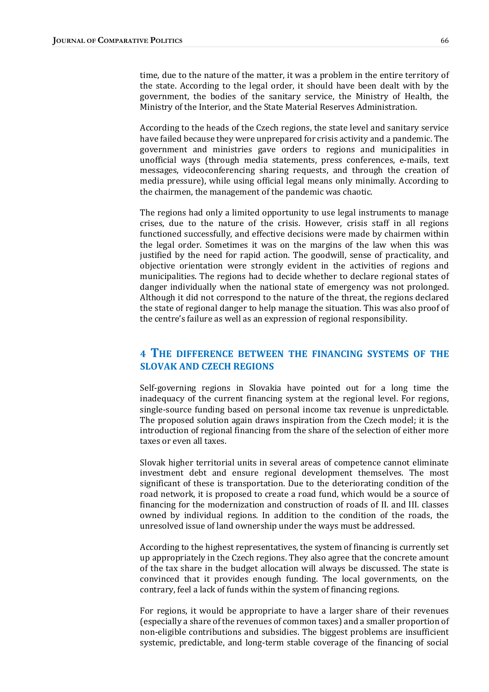time, due to the nature of the matter, it was a problem in the entire territory of the state. According to the legal order, it should have been dealt with by the government, the bodies of the sanitary service, the Ministry of Health, the Ministry of the Interior, and the State Material Reserves Administration.

According to the heads of the Czech regions, the state level and sanitary service have failed because they were unprepared for crisis activity and a pandemic. The government and ministries gave orders to regions and municipalities in unofficial ways (through media statements, press conferences, e-mails, text messages, videoconferencing sharing requests, and through the creation of media pressure), while using official legal means only minimally. According to the chairmen, the management of the pandemic was chaotic.

The regions had only a limited opportunity to use legal instruments to manage crises, due to the nature of the crisis. However, crisis staff in all regions functioned successfully, and effective decisions were made by chairmen within the legal order. Sometimes it was on the margins of the law when this was justified by the need for rapid action. The goodwill, sense of practicality, and objective orientation were strongly evident in the activities of regions and municipalities. The regions had to decide whether to declare regional states of danger individually when the national state of emergency was not prolonged. Although it did not correspond to the nature of the threat, the regions declared the state of regional danger to help manage the situation. This was also proof of the centre's failure as well as an expression of regional responsibility.

#### 4 THE DIFFERENCE BETWEEN THE FINANCING SYSTEMS OF THE **SLOVAK AND CZECH REGIONS**

Self-governing regions in Slovakia have pointed out for a long time the inadequacy of the current financing system at the regional level. For regions, single-source funding based on personal income tax revenue is unpredictable. The proposed solution again draws inspiration from the Czech model; it is the introduction of regional financing from the share of the selection of either more taxes or even all taxes.

Slovak higher territorial units in several areas of competence cannot eliminate investment debt and ensure regional development themselves. The most significant of these is transportation. Due to the deteriorating condition of the road network, it is proposed to create a road fund, which would be a source of financing for the modernization and construction of roads of II. and III. classes owned by individual regions. In addition to the condition of the roads, the unresolved issue of land ownership under the ways must be addressed.

According to the highest representatives, the system of financing is currently set up appropriately in the Czech regions. They also agree that the concrete amount of the tax share in the budget allocation will always be discussed. The state is convinced that it provides enough funding. The local governments, on the contrary, feel a lack of funds within the system of financing regions.

For regions, it would be appropriate to have a larger share of their revenues (especially a share of the revenues of common taxes) and a smaller proportion of non-eligible contributions and subsidies. The biggest problems are insufficient systemic, predictable, and long-term stable coverage of the financing of social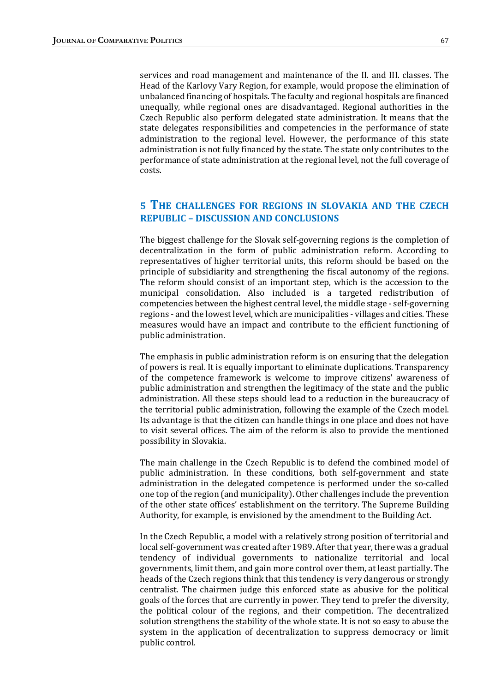services and road management and maintenance of the II. and III. classes. The Head of the Karlovy Vary Region, for example, would propose the elimination of unbalanced financing of hospitals. The faculty and regional hospitals are financed unequally, while regional ones are disadvantaged. Regional authorities in the Czech Republic also perform delegated state administration. It means that the state delegates responsibilities and competencies in the performance of state administration to the regional level. However, the performance of this state administration is not fully financed by the state. The state only contributes to the performance of state administration at the regional level, not the full coverage of costs. 

## 5 THE CHALLENGES FOR REGIONS IN SLOVAKIA AND THE CZECH REPUBLIC - DISCUSSION AND CONCLUSIONS

The biggest challenge for the Slovak self-governing regions is the completion of decentralization in the form of public administration reform. According to representatives of higher territorial units, this reform should be based on the principle of subsidiarity and strengthening the fiscal autonomy of the regions. The reform should consist of an important step, which is the accession to the municipal consolidation. Also included is a targeted redistribution of competencies between the highest central level, the middle stage - self-governing regions - and the lowest level, which are municipalities - villages and cities. These measures would have an impact and contribute to the efficient functioning of public administration.

The emphasis in public administration reform is on ensuring that the delegation of powers is real. It is equally important to eliminate duplications. Transparency of the competence framework is welcome to improve citizens' awareness of public administration and strengthen the legitimacy of the state and the public administration. All these steps should lead to a reduction in the bureaucracy of the territorial public administration, following the example of the Czech model. Its advantage is that the citizen can handle things in one place and does not have to visit several offices. The aim of the reform is also to provide the mentioned possibility in Slovakia.

The main challenge in the Czech Republic is to defend the combined model of public administration. In these conditions, both self-government and state administration in the delegated competence is performed under the so-called one top of the region (and municipality). Other challenges include the prevention of the other state offices' establishment on the territory. The Supreme Building Authority, for example, is envisioned by the amendment to the Building Act.

In the Czech Republic, a model with a relatively strong position of territorial and local self-government was created after 1989. After that year, there was a gradual tendency of individual governments to nationalize territorial and local governments, limit them, and gain more control over them, at least partially. The heads of the Czech regions think that this tendency is very dangerous or strongly centralist. The chairmen judge this enforced state as abusive for the political goals of the forces that are currently in power. They tend to prefer the diversity, the political colour of the regions, and their competition. The decentralized solution strengthens the stability of the whole state. It is not so easy to abuse the system in the application of decentralization to suppress democracy or limit public control.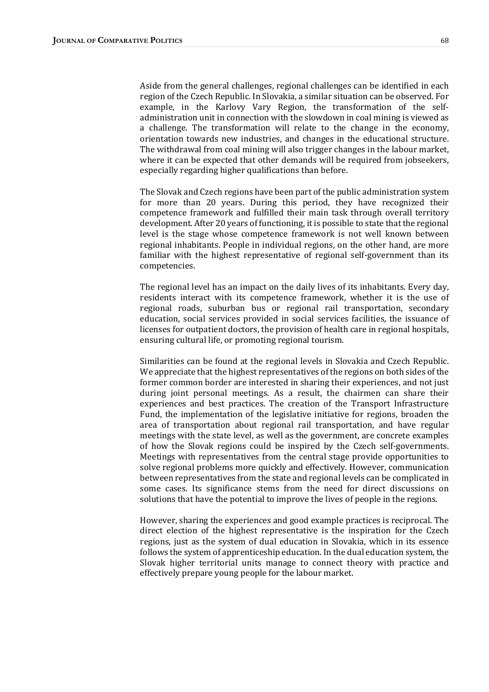Aside from the general challenges, regional challenges can be identified in each region of the Czech Republic. In Slovakia, a similar situation can be observed. For example, in the Karlovy Vary Region, the transformation of the selfadministration unit in connection with the slowdown in coal mining is viewed as a challenge. The transformation will relate to the change in the economy, orientation towards new industries, and changes in the educational structure. The withdrawal from coal mining will also trigger changes in the labour market, where it can be expected that other demands will be required from jobseekers, especially regarding higher qualifications than before.

The Slovak and Czech regions have been part of the public administration system for more than 20 years. During this period, they have recognized their competence framework and fulfilled their main task through overall territory development. After 20 years of functioning, it is possible to state that the regional level is the stage whose competence framework is not well known between regional inhabitants. People in individual regions, on the other hand, are more familiar with the highest representative of regional self-government than its competencies. 

The regional level has an impact on the daily lives of its inhabitants. Every day, residents interact with its competence framework, whether it is the use of regional roads, suburban bus or regional rail transportation, secondary education, social services provided in social services facilities, the issuance of licenses for outpatient doctors, the provision of health care in regional hospitals, ensuring cultural life, or promoting regional tourism.

Similarities can be found at the regional levels in Slovakia and Czech Republic. We appreciate that the highest representatives of the regions on both sides of the former common border are interested in sharing their experiences, and not just during joint personal meetings. As a result, the chairmen can share their experiences and best practices. The creation of the Transport Infrastructure Fund, the implementation of the legislative initiative for regions, broaden the area of transportation about regional rail transportation, and have regular meetings with the state level, as well as the government, are concrete examples of how the Slovak regions could be inspired by the Czech self-governments. Meetings with representatives from the central stage provide opportunities to solve regional problems more quickly and effectively. However, communication between representatives from the state and regional levels can be complicated in some cases. Its significance stems from the need for direct discussions on solutions that have the potential to improve the lives of people in the regions.

However, sharing the experiences and good example practices is reciprocal. The direct election of the highest representative is the inspiration for the Czech regions, just as the system of dual education in Slovakia, which in its essence follows the system of apprenticeship education. In the dual education system, the Slovak higher territorial units manage to connect theory with practice and effectively prepare young people for the labour market.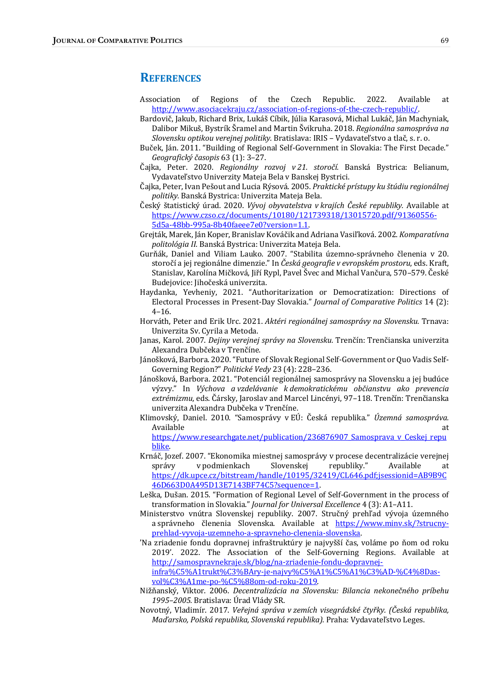#### **REFERENCES**

- Association of Regions of the Czech Republic. 2022. Available at http://www.asociacekraju.cz/association-of-regions-of-the-czech-republic/.
- Bardovič, Jakub, Richard Brix, Lukáš Cíbik, Júlia Karasová, Michal Lukáč, Ján Machyniak, Dalibor Mikuš, Bystrík Šramel and Martin Švikruha. 2018. Regionálna samospráva na Slovensku optikou verejnej politiky. Bratislava: IRIS - Vydavateľstvo a tlač, s. r. o.
- Buček, Ján. 2011. "Building of Regional Self-Government in Slovakia: The First Decade." Geografický časopis 63 (1): 3-27.
- Čajka, Peter. 2020. *Regionálny rozvoj v 21. storočí.* Banská Bystrica: Belianum, Vydavateľstvo Univerzity Mateja Bela v Banskej Bystrici.
- Čajka, Peter, Ivan Pešout and Lucia Rýsová. 2005. *Praktické prístupy ku štúdiu regionálnej* politiky. Banská Bystrica: Univerzita Mateja Bela.
- Český štatistický úrad. 2020. *Vývoj obyvatelstva v krajích České republiky.* Available at https://www.czso.cz/documents/10180/121739318/13015720.pdf/91360556- 5d5a-48bb-995a-8b40faeee7e0?version=1.1.
- Grejták, Marek, Ján Koper, Branislav Kováčik and Adriana Vasiľková. 2002. Komparatívna politológia II. Banská Bystrica: Univerzita Mateja Bela.
- Gurňák, Daniel and Viliam Lauko. 2007. "Stabilita územno-správneho členenia v 20. storočí a jej regionálne dimenzie." In Česká geografie v evropském prostoru, eds. Kraft, Stanislav, Karolína Mičková, Jiří Rypl, Pavel Švec and Michal Vančura, 570–579. České Budejovice: Jihočeská univerzita.
- Haydanka, Yevheniy, 2021. "Authoritarization or Democratization: Directions of Electoral Processes in Present-Day Slovakia." *Journal of Comparative Politics* 14 (2): 4–16.
- Horváth, Peter and Erik Urc. 2021. Aktéri regionálnej samosprávy na Slovensku. Trnava: Univerzita Sv. Cyrila a Metoda.
- Janas, Karol. 2007. Dejiny verejnej správy na Slovensku. Trenčín: Trenčianska univerzita Alexandra Dubčeka v Trenčíne.
- Jánošková, Barbora. 2020. "Future of Slovak Regional Self-Government or Quo Vadis Self-Governing Region?" Politické Vedy 23 (4): 228-236.
- Jánošková, Barbora. 2021. "Potenciál regionálnej samosprávy na Slovensku a jej budúce výzvy." In Výchova a vzdelávanie k demokratickému občianstvu ako prevencia extrémizmu, eds. Čársky, Jaroslav and Marcel Lincényi, 97–118. Trenčín: Trenčianska univerzita Alexandra Dubčeka v Trenčíne.
- Klimovský, Daniel. 2010. "Samosprávy v EÚ: Česká republika." Územná samospráva. Available at the contract of the contract of the contract of the contract of the contract of the contract of the contract of the contract of the contract of the contract of the contract of the contract of the contract of t https://www.researchgate.net/publication/236876907\_Samosprava\_v\_Ceskej\_repu

blike. 

- Krnáč, Jozef. 2007. "Ekonomika miestnej samosprávy v procese decentralizácie verejnej správy v podmienkach Slovenskej republiky." Available at https://dk.upce.cz/bitstream/handle/10195/32419/CL646.pdf;jsessionid=AB9B9C 46D663D0A495D13E7143BF74C5?sequence=1.
- Leška, Dušan. 2015. "Formation of Regional Level of Self-Government in the process of transformation in Slovakia." *Journal for Universal Excellence* 4 (3): A1–A11.
- Ministerstvo vnútra Slovenskej republiky. 2007. Stručný prehľad vývoja územného a správneho členenia Slovenska. Available at https://www.minv.sk/?strucnyprehlad-vyvoja-uzemneho-a-spravneho-clenenia-slovenska.
- 'Na zriadenie fondu dopravnej infraštruktúry je najvyšší čas, voláme po ňom od roku 2019'. 2022. The Association of the Self-Governing Regions. Available at http://samospravnekraje.sk/blog/na-zriadenie-fondu-dopravnejinfra%C5%A1trukt%C3%BAry-je-najvy%C5%A1%C5%A1%C3%AD-%C4%8Dasvol%C3%A1me-po-%C5%88om-od-roku-2019.
- Nižňanský, Viktor. 2006. Decentralizácia na Slovensku: Bilancia nekonečného príbehu 1995–2005. Bratislava: Úrad Vlády SR.
- Novotný, Vladimír. 2017. Veřejná správa v zemích visegrádské čtyřky. (Česká republika, Maďarsko, Polská republika, Slovenská republika). Praha: Vydavateľstvo Leges.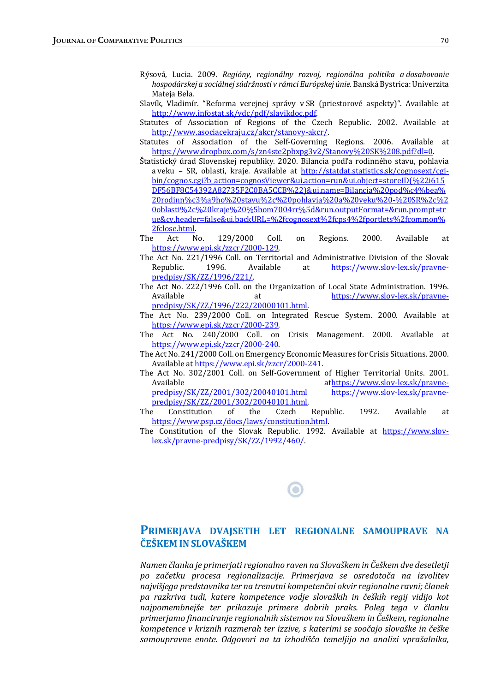- Rýsová, Lucia. 2009. Regióny, regionálny rozvoj, regionálna politika a dosahovanie hospodárskej a sociálnej súdržnosti v rámci Európskej únie. Banská Bystrica: Univerzita Mateja Bela.
- Slavík, Vladimír. "Reforma verejnej správy v SR (priestorové aspekty)". Available at http://www.infostat.sk/vdc/pdf/slavikdoc.pdf.
- Statutes of Association of Regions of the Czech Republic. 2002. Available at http://www.asociacekraju.cz/akcr/stanovy-akcr/.
- Statutes of Association of the Self-Governing Regions. 2006. Available at https://www.dropbox.com/s/zn4ste2pbxpg3v2/Stanovy%20SK%208.pdf?dl=0.
- Štatistický úrad Slovenskej republiky. 2020. Bilancia podľa rodinného stavu, pohlavia a veku - SR, oblasti, kraje. Available at http://statdat.statistics.sk/cognosext/cgibin/cognos.cgi?b\_action=cognosViewer&ui.action=run&ui.object=storeID(%22i615 DF56BF8C54392A82735F2C0BA5CCB%22)&ui.name=Bilancia%20pod%c4%bea% 20rodinn%c3%a9ho%20stavu%2c%20pohlavia%20a%20veku%20-%20SR%2c%2 0oblasti%2c%20kraje%20%5bom7004rr%5d&run.outputFormat=&run.prompt=tr ue&cv.header=false&ui.backURL=%2fcognosext%2fcps4%2fportlets%2fcommon% 2fclose.html.
- The Act No. 129/2000 Coll. on Regions. 2000. Available at https://www.epi.sk/zzcr/2000-129.
- The Act No. 221/1996 Coll. on Territorial and Administrative Division of the Slovak Republic. 1996. Available at https://www.slov-lex.sk/pravnepredpisy/SK/ZZ/1996/221/.
- The Act No. 222/1996 Coll. on the Organization of Local State Administration. 1996. Available at at https://www.slov-lex.sk/pravnepredpisy/SK/ZZ/1996/222/20000101.html.
- The Act No. 239/2000 Coll. on Integrated Rescue System. 2000. Available at https://www.epi.sk/zzcr/2000-239.
- The Act No. 240/2000 Coll. on Crisis Management. 2000. Available at https://www.epi.sk/zzcr/2000-240.
- The Act No. 241/2000 Coll. on Emergency Economic Measures for Crisis Situations. 2000. Available at https://www.epi.sk/zzcr/2000-241.
- The Act No. 302/2001 Coll. on Self-Government of Higher Territorial Units. 2001. Available athttps://www.slov-lex.sk/pravnepredpisy/SK/ZZ/2001/302/20040101.html https://www.slov-lex.sk/pravnepredpisy/SK/ZZ/2001/302/20040101.html.
- The Constitution of the Czech Republic. 1992. Available at https://www.psp.cz/docs/laws/constitution.html.
- The Constitution of the Slovak Republic. 1992. Available at  $\frac{https://www.slov$ lex.sk/pravne-predpisy/SK/ZZ/1992/460/.

#### PRIMERJAVA DVAJSETIH LET REGIONALNE SAMOUPRAVE NA ČEŠKEM IN SLOVAŠKEM

Namen članka je primerjati regionalno raven na Slovaškem in Češkem dve desetletji po začetku procesa regionalizacije. Primerjava se osredotoča na izvolitev najvišjega predstavnika ter na trenutni kompetenčni okvir regionalne ravni; članek pa razkriva tudi, katere kompetence vodje slovaških in čeških regij vidijo kot najpomembnejše ter prikazuje primere dobrih praks. Poleg tega v članku primerjamo financiranje regionalnih sistemov na Slovaškem in Češkem, regionalne kompetence v kriznih razmerah ter izzive, s katerimi se soočajo slovaške in češke samoupravne enote. Odgovori na ta izhodišča temeljijo na analizi vprašalnika,